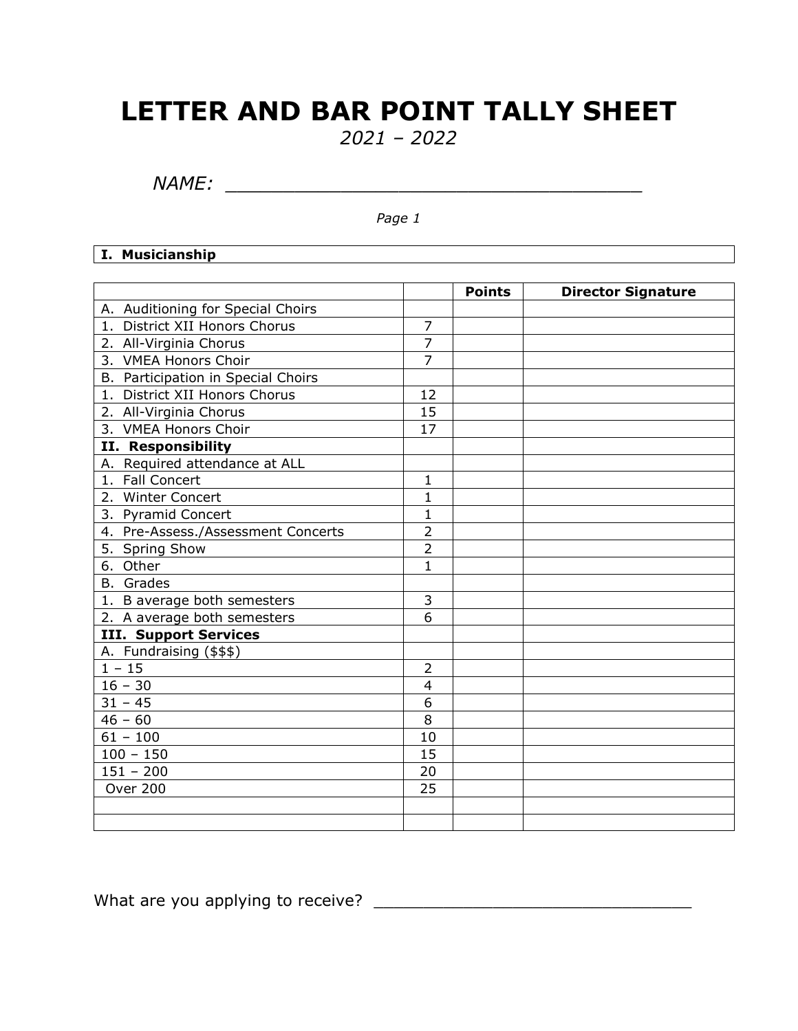## **LETTER AND BAR POINT TALLY SHEET**

*2021 – 2022*

*NAME: \_\_\_\_\_\_\_\_\_\_\_\_\_\_\_\_\_\_\_\_\_\_\_\_\_\_\_\_\_\_\_\_\_\_\_\_*

*Page 1*

## **I. Musicianship**

|                                    |                | <b>Points</b> | <b>Director Signature</b> |
|------------------------------------|----------------|---------------|---------------------------|
| A. Auditioning for Special Choirs  |                |               |                           |
| 1. District XII Honors Chorus      | $\overline{7}$ |               |                           |
| 2. All-Virginia Chorus             | $\overline{7}$ |               |                           |
| 3. VMEA Honors Choir               | $\overline{7}$ |               |                           |
| B. Participation in Special Choirs |                |               |                           |
| 1. District XII Honors Chorus      | 12             |               |                           |
| 2. All-Virginia Chorus             | 15             |               |                           |
| 3. VMEA Honors Choir               | 17             |               |                           |
| II. Responsibility                 |                |               |                           |
| A. Required attendance at ALL      |                |               |                           |
| 1. Fall Concert                    | $\mathbf{1}$   |               |                           |
| 2. Winter Concert                  | $\mathbf{1}$   |               |                           |
| 3. Pyramid Concert                 | 1              |               |                           |
| 4. Pre-Assess./Assessment Concerts | $\overline{2}$ |               |                           |
| 5. Spring Show                     | $\overline{2}$ |               |                           |
| 6. Other                           | $\mathbf{1}$   |               |                           |
| <b>B.</b> Grades                   |                |               |                           |
| 1. B average both semesters        | 3              |               |                           |
| 2. A average both semesters        | 6              |               |                           |
| <b>III. Support Services</b>       |                |               |                           |
| A. Fundraising (\$\$\$)            |                |               |                           |
| $1 - 15$                           | $\overline{2}$ |               |                           |
| $16 - 30$                          | $\overline{4}$ |               |                           |
| $31 - 45$                          | 6              |               |                           |
| $46 - 60$                          | 8              |               |                           |
| $61 - 100$                         | 10             |               |                           |
| $100 - 150$                        | 15             |               |                           |
| $151 - 200$                        | 20             |               |                           |
| Over 200                           | 25             |               |                           |
|                                    |                |               |                           |
|                                    |                |               |                           |

What are you applying to receive? \_\_\_\_\_\_\_\_\_\_\_\_\_\_\_\_\_\_\_\_\_\_\_\_\_\_\_\_\_\_\_\_